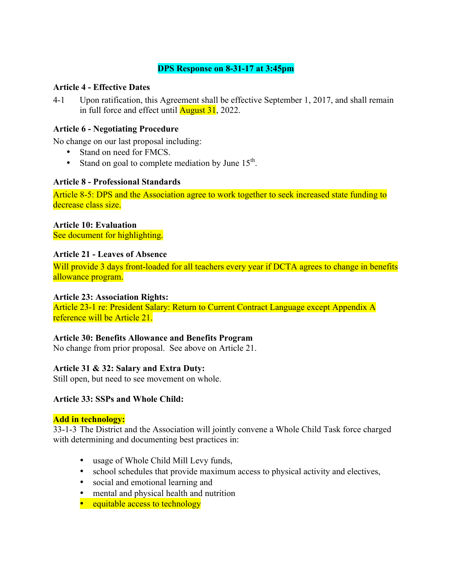# **DPS Response on 8-31-17 at 3:45pm**

## **Article 4 - Effective Dates**

4-1 Upon ratification, this Agreement shall be effective September 1, 2017, and shall remain in full force and effect until **August 31**, 2022.

## **Article 6 - Negotiating Procedure**

No change on our last proposal including:

- Stand on need for FMCS.
- Stand on goal to complete mediation by June  $15<sup>th</sup>$ .

### **Article 8 - Professional Standards**

Article 8-5: DPS and the Association agree to work together to seek increased state funding to decrease class size.

## **Article 10: Evaluation**

See document for highlighting.

## **Article 21 - Leaves of Absence**

Will provide 3 days front-loaded for all teachers every year if DCTA agrees to change in benefits allowance program.

### **Article 23: Association Rights:**

Article 23-1 re: President Salary: Return to Current Contract Language except Appendix A reference will be Article 21.

### **Article 30: Benefits Allowance and Benefits Program**

No change from prior proposal. See above on Article 21.

# **Article 31 & 32: Salary and Extra Duty:**

Still open, but need to see movement on whole.

### **Article 33: SSPs and Whole Child:**

### **Add in technology:**

33-1-3 The District and the Association will jointly convene a Whole Child Task force charged with determining and documenting best practices in:

- usage of Whole Child Mill Levy funds,
- school schedules that provide maximum access to physical activity and electives,
- social and emotional learning and
- mental and physical health and nutrition
- equitable access to technology